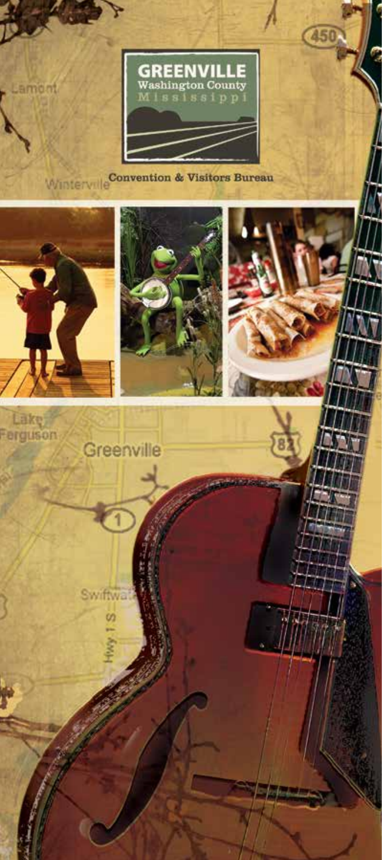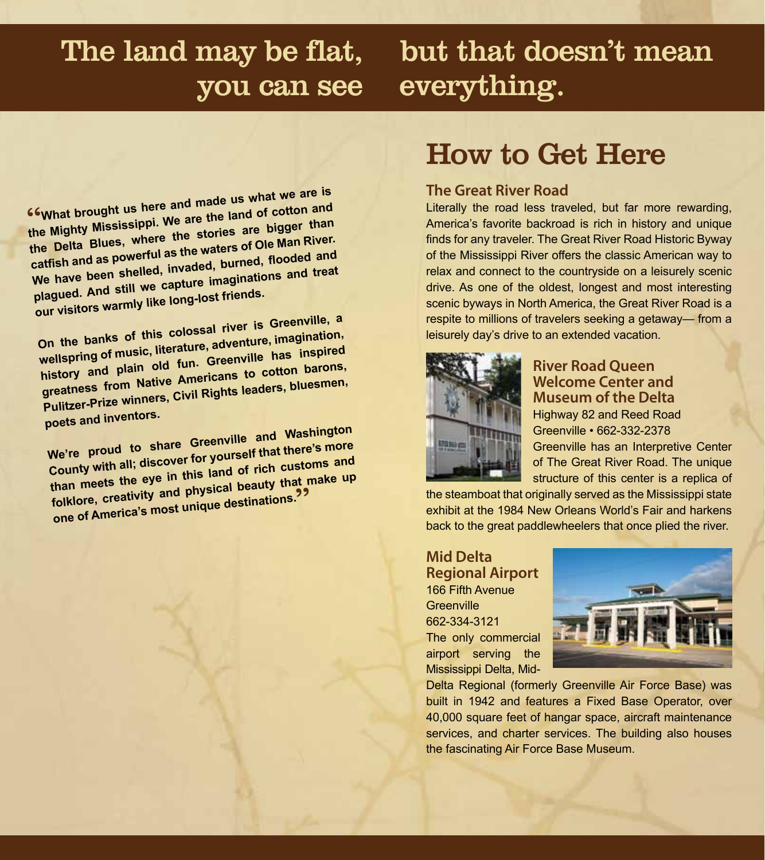# you can see everything.

# The land may be flat, but that doesn't mean

"**What brought us here and made us what we are is the Mighty Mississippi. We are the land of cotton an<sup>d</sup> the Delta Blues, where the stories are bigger than catfish and as powerful as the waters of Ole Man River. We have been shelled, invaded, burned, flooded an<sup>d</sup> plagued. And still we capture imaginations and treat our visitors warmly like long-lost friends.**

**On the banks of this colossal river is Greenville, a wellspring of music, literature, adventure, imagination, history and plain old fun. Greenville has inspired greatness from Native Americans to cotton barons, Pulitzer-Prize winners, Civil Rights leaders, bluesmen, poets and inventors.**

**We're proud to share Greenville and Washington County with all; discover for yourself that there's more than meets the eye in this land of rich customs an<sup>d</sup> folklore, creativity and physical beauty that make up one of America's most unique destinations.** 

# How to Get Here

### **The Great River Road**

Literally the road less traveled, but far more rewarding, America's favorite backroad is rich in history and unique finds for any traveler. The Great River Road Historic Byway of the Mississippi River offers the classic American way to relax and connect to the countryside on a leisurely scenic drive. As one of the oldest, longest and most interesting scenic byways in North America, the Great River Road is a respite to millions of travelers seeking a getaway— from a leisurely day's drive to an extended vacation.



### **River Road Queen Welcome Center and Museum of the Delta**

Highway 82 and Reed Road Greenville • 662-332-2378 Greenville has an Interpretive Center of The Great River Road. The unique structure of this center is a replica of

the steamboat that originally served as the Mississippi state exhibit at the 1984 New Orleans World's Fair and harkens back to the great paddlewheelers that once plied the river.

### **Mid Delta Regional Airport** 166 Fifth Avenue **Greenville**

662-334-3121 The only commercial airport serving the Mississippi Delta, Mid-



Delta Regional (formerly Greenville Air Force Base) was built in 1942 and features a Fixed Base Operator, over 40,000 square feet of hangar space, aircraft maintenance services, and charter services. The building also houses the fascinating Air Force Base Museum.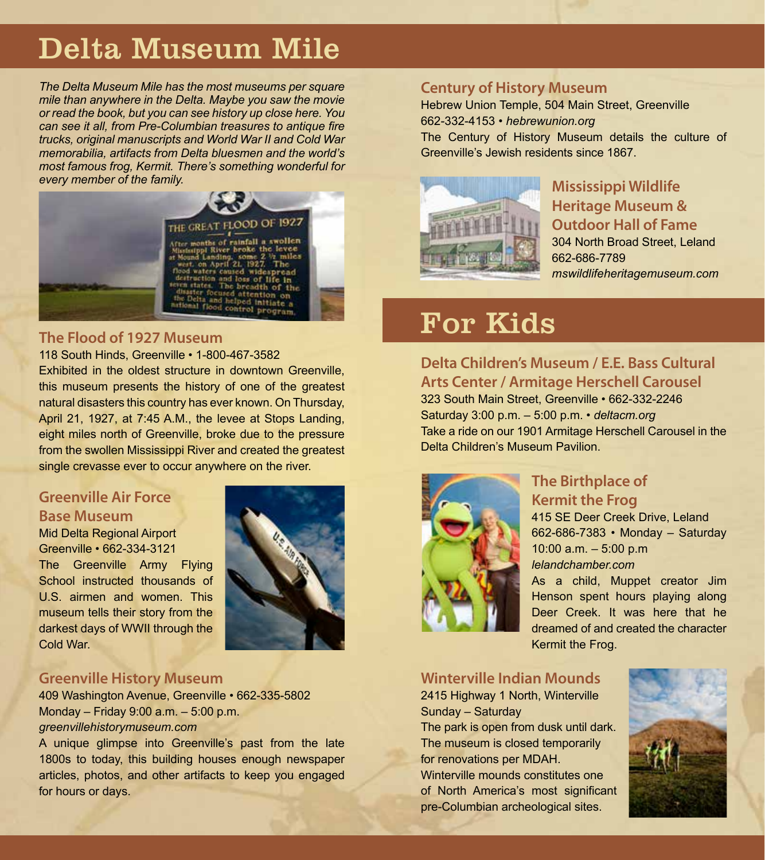# Delta Museum Mile

*The Delta Museum Mile has the most museums per square mile than anywhere in the Delta. Maybe you saw the movie or read the book, but you can see history up close here. You can see it all, from Pre-Columbian treasures to antique fire trucks, original manuscripts and World War II and Cold War memorabilia, artifacts from Delta bluesmen and the world's most famous frog, Kermit. There's something wonderful for every member of the family.*



# **The Flood of 1927 Museum**

#### 118 South Hinds, Greenville • 1-800-467-3582

Exhibited in the oldest structure in downtown Greenville, this museum presents the history of one of the greatest natural disasters this country has ever known. On Thursday, April 21, 1927, at 7:45 A.M., the levee at Stops Landing, eight miles north of Greenville, broke due to the pressure from the swollen Mississippi River and created the greatest single crevasse ever to occur anywhere on the river.

# **Greenville Air Force Base Museum**

#### Mid Delta Regional Airport Greenville • 662-334-3121

The Greenville Army Flying School instructed thousands of U.S. airmen and women. This museum tells their story from the darkest days of WWII through the Cold War.



# **Greenville History Museum**

409 Washington Avenue, Greenville • 662-335-5802 Monday – Friday 9:00 a.m. – 5:00 p.m. *greenvillehistorymuseum.com*

A unique glimpse into Greenville's past from the late 1800s to today, this building houses enough newspaper articles, photos, and other artifacts to keep you engaged for hours or days.

# **Century of History Museum**

Hebrew Union Temple, 504 Main Street, Greenville 662-332-4153 • *hebrewunion.org* The Century of History Museum details the culture of Greenville's Jewish residents since 1867.



# **Mississippi Wildlife Heritage Museum & Outdoor Hall of Fame** 304 North Broad Street, Leland 662-686-7789 *mswildlifeheritagemuseum.com*

# For Kids

# **Delta Children's Museum / E.E. Bass Cultural Arts Center / Armitage Herschell Carousel**

323 South Main Street, Greenville • 662-332-2246 Saturday 3:00 p.m. – 5:00 p.m. • *deltacm.org* Take a ride on our 1901 Armitage Herschell Carousel in the Delta Children's Museum Pavilion.



# **The Birthplace of Kermit the Frog**

415 SE Deer Creek Drive, Leland 662-686-7383 • Monday – Saturday 10:00 a.m. – 5:00 p.m *lelandchamber.com*

As a child, Muppet creator Jim Henson spent hours playing along Deer Creek. It was here that he dreamed of and created the character Kermit the Frog.

#### **Winterville Indian Mounds** 2415 Highway 1 North, Winterville

Sunday – Saturday The park is open from dusk until dark. The museum is closed temporarily for renovations per MDAH. Winterville mounds constitutes one of North America's most significant

pre-Columbian archeological sites.

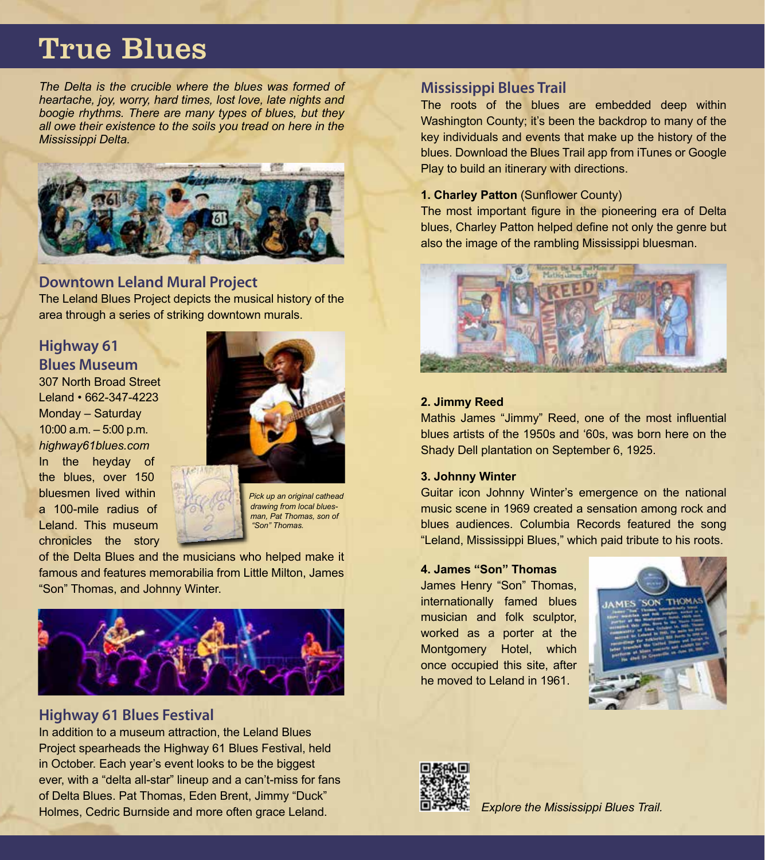# True Blues

*The Delta is the crucible where the blues was formed of heartache, joy, worry, hard times, lost love, late nights and boogie rhythms. There are many types of blues, but they all owe their existence to the soils you tread on here in the Mississippi Delta.*



# **Downtown Leland Mural Project**

The Leland Blues Project depicts the musical history of the area through a series of striking downtown murals.

# **Highway 61 Blues Museum**

307 North Broad Street Leland • 662-347-4223 Monday – Saturday 10:00 a.m. – 5:00 p.m. *highway61blues.com* In the heyday of the blues, over 150 bluesmen lived within a 100-mile radius of Leland. This museum chronicles the story



*Pick up an original cathead drawing from local bluesman, Pat Thomas, son of "Son" Thomas.*

of the Delta Blues and the musicians who helped make it famous and features memorabilia from Little Milton, James "Son" Thomas, and Johnny Winter.



# **Highway 61 Blues Festival**

In addition to a museum attraction, the Leland Blues Project spearheads the Highway 61 Blues Festival, held in October. Each year's event looks to be the biggest ever, with a "delta all-star" lineup and a can't-miss for fans of Delta Blues. Pat Thomas, Eden Brent, Jimmy "Duck" Holmes, Cedric Burnside and more often grace Leland. *Explore the Mississippi Blues Trail.*

## **Mississippi Blues Trail**

The roots of the blues are embedded deep within Washington County; it's been the backdrop to many of the key individuals and events that make up the history of the blues. Download the Blues Trail app from iTunes or Google Play to build an itinerary with directions.

#### **1. Charley Patton (Sunflower County)**

The most important figure in the pioneering era of Delta blues, Charley Patton helped define not only the genre but also the image of the rambling Mississippi bluesman.



#### **2. Jimmy Reed**

Mathis James "Jimmy" Reed, one of the most influential blues artists of the 1950s and '60s, was born here on the Shady Dell plantation on September 6, 1925.

#### **3. Johnny Winter**

Guitar icon Johnny Winter's emergence on the national music scene in 1969 created a sensation among rock and blues audiences. Columbia Records featured the song "Leland, Mississippi Blues," which paid tribute to his roots.

#### **4. James "Son" Thomas**

James Henry "Son" Thomas, internationally famed blues musician and folk sculptor, worked as a porter at the Montgomery Hotel, which once occupied this site, after he moved to Leland in 1961.



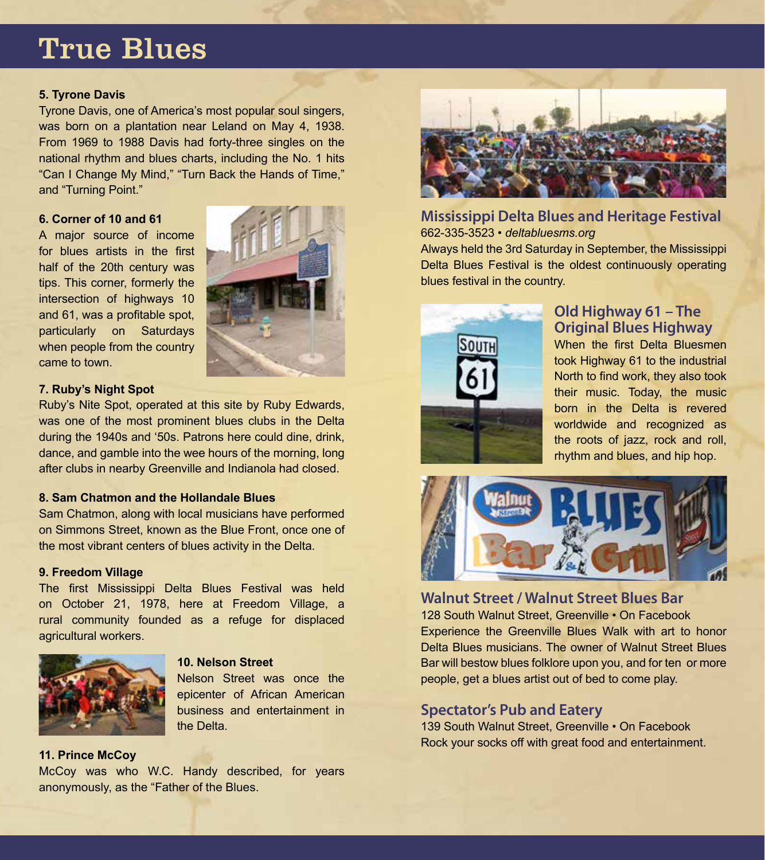# True Blues

#### **5. Tyrone Davis**

Tyrone Davis, one of America's most popular soul singers, was born on a plantation near Leland on May 4, 1938. From 1969 to 1988 Davis had forty-three singles on the national rhythm and blues charts, including the No. 1 hits "Can I Change My Mind," "Turn Back the Hands of Time," and "Turning Point."

#### **6. Corner of 10 and 61**

A major source of income for blues artists in the first half of the 20th century was tips. This corner, formerly the intersection of highways 10 and 61, was a profitable spot, particularly on Saturdays when people from the country came to town.



#### **7. Ruby's Night Spot**

Ruby's Nite Spot, operated at this site by Ruby Edwards, was one of the most prominent blues clubs in the Delta during the 1940s and '50s. Patrons here could dine, drink, dance, and gamble into the wee hours of the morning, long after clubs in nearby Greenville and Indianola had closed.

#### **8. Sam Chatmon and the Hollandale Blues**

Sam Chatmon, along with local musicians have performed on Simmons Street, known as the Blue Front, once one of the most vibrant centers of blues activity in the Delta.

#### **9. Freedom Village**

The first Mississippi Delta Blues Festival was held on October 21, 1978, here at Freedom Village, a rural community founded as a refuge for displaced agricultural workers.



#### **10. Nelson Street**

Nelson Street was once the epicenter of African American business and entertainment in the Delta.

#### **11. Prince McCoy**

McCoy was who W.C. Handy described, for years anonymously, as the "Father of the Blues.



# **Mississippi Delta Blues and Heritage Festival** 662-335-3523 • *deltabluesms.org*

Always held the 3rd Saturday in September, the Mississippi Delta Blues Festival is the oldest continuously operating blues festival in the country.



# **Old Highway 61 – The Original Blues Highway**

When the first Delta Bluesmen took Highway 61 to the industrial North to find work, they also took their music. Today, the music born in the Delta is revered worldwide and recognized as the roots of jazz, rock and roll, rhythm and blues, and hip hop.



**Walnut Street / Walnut Street Blues Bar** 128 South Walnut Street, Greenville • On Facebook Experience the Greenville Blues Walk with art to honor Delta Blues musicians. The owner of Walnut Street Blues Bar will bestow blues folklore upon you, and for ten or more people, get a blues artist out of bed to come play.

# **Spectator's Pub and Eatery**

139 South Walnut Street, Greenville • On Facebook Rock your socks off with great food and entertainment.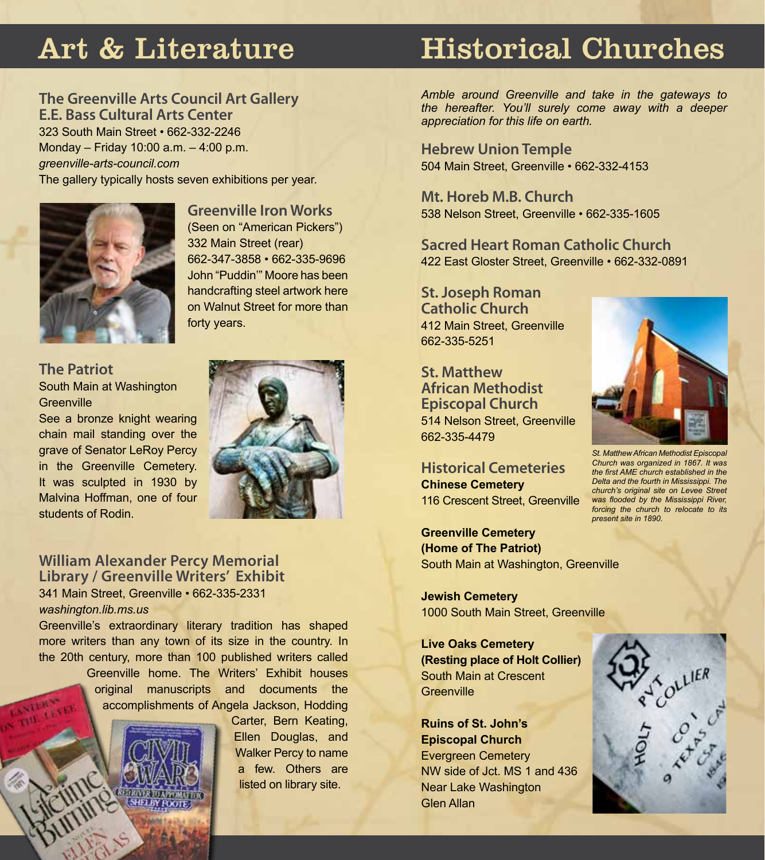# Art & Literature

### **The Greenville Arts Council Art Gallery E.E. Bass Cultural Arts Center**

323 South Main Street • 662-332-2246 Monday – Friday 10:00 a.m. – 4:00 p.m. *greenville-arts-council.com* The gallery typically hosts seven exhibitions per year.



**Greenville Iron Works** (Seen on "American Pickers") 332 Main Street (rear) 662-347-3858 • 662-335-9696 John "Puddin'" Moore has been handcrafting steel artwork here on Walnut Street for more than forty years.

#### **The Patriot** South Main at Washington **Greenville**

See a bronze knight wearing chain mail standing over the grave of Senator LeRoy Percy in the Greenville Cemetery. It was sculpted in 1930 by Malvina Hoffman, one of four students of Rodin.



#### **William Alexander Percy Memorial Library / Greenville Writers' Exhibit** 341 Main Street, Greenville • 662-335-2331 *washington.lib.ms.us*

Greenville's extraordinary literary tradition has shaped more writers than any town of its size in the country. In the 20th century, more than 100 published writers called Greenville home. The Writers' Exhibit houses original manuscripts and documents the accomplishments of Angela Jackson, Hodding



Carter, Bern Keating, Ellen Douglas, and Walker Percy to name a few. Others are listed on library site.

# Historical Churches

*Amble around Greenville and take in the gateways to the hereafter. You'll surely come away with a deeper appreciation for this life on earth.*

**Hebrew Union Temple** 504 Main Street, Greenville • 662-332-4153

**Mt. Horeb M.B. Church** 538 Nelson Street, Greenville • 662-335-1605

**Sacred Heart Roman Catholic Church** 422 East Gloster Street, Greenville • 662-332-0891

**St. Joseph Roman Catholic Church** 412 Main Street, Greenville 662-335-5251

**St. Matthew African Methodist Episcopal Church** 514 Nelson Street, Greenville 662-335-4479

**Historical Cemeteries Chinese Cemetery** 116 Crescent Street, Greenville

**Greenville Cemetery (Home of The Patriot)** South Main at Washington, Greenville

**Jewish Cemetery** 1000 South Main Street, Greenville

**Live Oaks Cemetery (Resting place of Holt Collier)** South Main at Crescent **Greenville** 

**Ruins of St. John's Episcopal Church** Evergreen Cemetery NW side of Jct. MS 1 and 436 Near Lake Washington Glen Allan



*St. Matthew African Methodist Episcopal Church was organized in 1867. It was the first AME church established in the Delta and the fourth in Mississippi. The church's original site on Levee Street was flooded by the Mississippi River, forcing the church to relocate to its present site in 1890.*

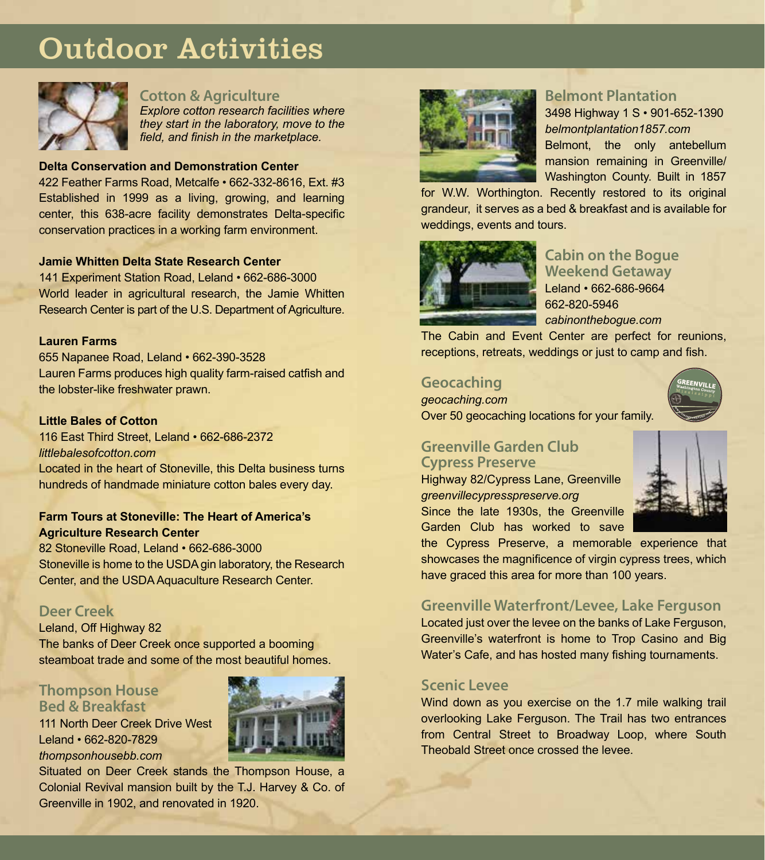# Outdoor Activities



#### **Cotton & Agriculture**

*Explore cotton research facilities where they start in the laboratory, move to the field, and finish in the marketplace.* 

#### **Delta Conservation and Demonstration Center**

422 Feather Farms Road, Metcalfe • 662-332-8616, Ext. #3 Established in 1999 as a living, growing, and learning center, this 638-acre facility demonstrates Delta-specific conservation practices in a working farm environment.

#### **Jamie Whitten Delta State Research Center**

141 Experiment Station Road, Leland • 662-686-3000 World leader in agricultural research, the Jamie Whitten Research Center is part of the U.S. Department of Agriculture.

#### **Lauren Farms**

655 Napanee Road, Leland • 662-390-3528 Lauren Farms produces high quality farm-raised catfish and the lobster-like freshwater prawn.

#### **Little Bales of Cotton**

116 East Third Street, Leland • 662-686-2372 *littlebalesofcotton.com* Located in the heart of Stoneville, this Delta business turns hundreds of handmade miniature cotton bales every day.

#### **Farm Tours at Stoneville: The Heart of America's Agriculture Research Center**

82 Stoneville Road, Leland • 662-686-3000 Stoneville is home to the USDA gin laboratory, the Research Center, and the USDA Aquaculture Research Center.

#### **Deer Creek**

Leland, Off Highway 82

The banks of Deer Creek once supported a booming steamboat trade and some of the most beautiful homes.

#### **Thompson House Bed & Breakfast**

111 North Deer Creek Drive West Leland • 662-820-7829 *thompsonhousebb.com*





#### **Belmont Plantation**

3498 Highway 1 S • 901-652-1390 *belmontplantation1857.com* Belmont, the only antebellum mansion remaining in Greenville/ Washington County. Built in 1857

for W.W. Worthington. Recently restored to its original grandeur, it serves as a bed & breakfast and is available for weddings, events and tours.



#### **Cabin on the Bogue Weekend Getaway** Leland • 662-686-9664 662-820-5946 *cabinonthebogue.com*

The Cabin and Event Center are perfect for reunions, receptions, retreats, weddings or just to camp and fish.

#### **Geocaching**

*geocaching.com* Over 50 geocaching locations for your family.



#### **Greenville Garden Club Cypress Preserve**

Highway 82/Cypress Lane, Greenville *greenvillecypresspreserve.org* Since the late 1930s, the Greenville Garden Club has worked to save



the Cypress Preserve, a memorable experience that showcases the magnificence of virgin cypress trees, which have graced this area for more than 100 years.

#### **Greenville Waterfront/Levee, Lake Ferguson**

Located just over the levee on the banks of Lake Ferguson, Greenville's waterfront is home to Trop Casino and Big Water's Cafe, and has hosted many fishing tournaments.

#### **Scenic Levee**

Wind down as you exercise on the 1.7 mile walking trail overlooking Lake Ferguson. The Trail has two entrances from Central Street to Broadway Loop, where South Theobald Street once crossed the levee.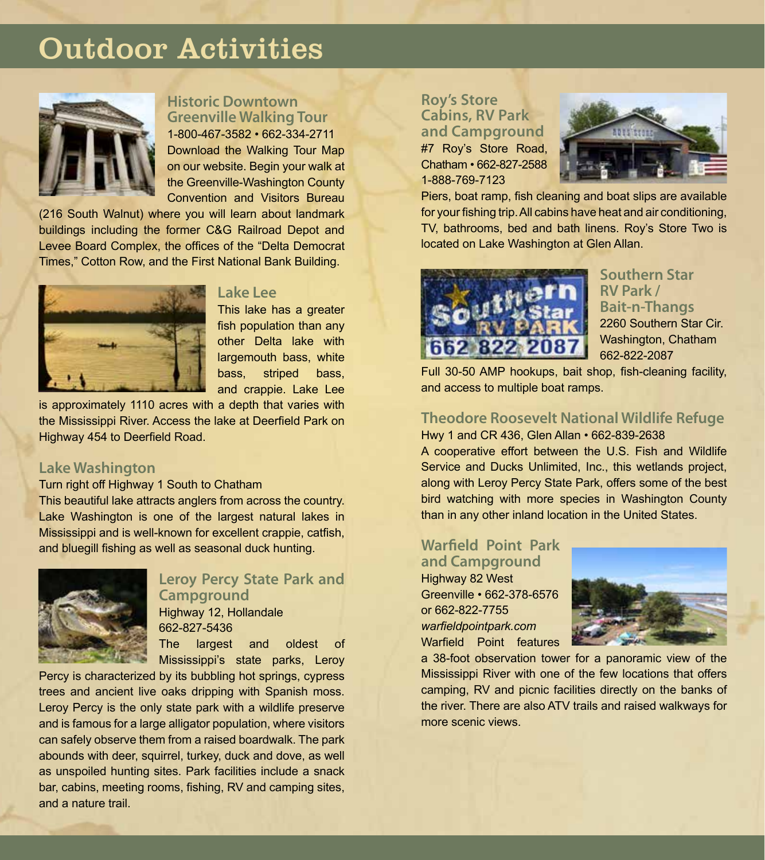# Outdoor Activities



# **Historic Downtown Greenville Walking Tour** 1-800-467-3582 • 662-334-2711

Download the Walking Tour Map on our website. Begin your walk at the Greenville-Washington County Convention and Visitors Bureau

(216 South Walnut) where you will learn about landmark buildings including the former C&G Railroad Depot and Levee Board Complex, the offices of the "Delta Democrat Times," Cotton Row, and the First National Bank Building.



#### **Lake Lee**

This lake has a greater fish population than any other Delta lake with largemouth bass, white bass, striped bass, and crappie. Lake Lee

is approximately 1110 acres with a depth that varies with the Mississippi River. Access the lake at Deerfield Park on Highway 454 to Deerfield Road.

#### **Lake Washington**

Turn right off Highway 1 South to Chatham

This beautiful lake attracts anglers from across the country. Lake Washington is one of the largest natural lakes in Mississippi and is well-known for excellent crappie, catfish, and bluegill fishing as well as seasonal duck hunting.



### **Leroy Percy State Park and Campground** Highway 12, Hollandale 662-827-5436

The largest and oldest of Mississippi's state parks, Leroy

Percy is characterized by its bubbling hot springs, cypress trees and ancient live oaks dripping with Spanish moss. Leroy Percy is the only state park with a wildlife preserve and is famous for a large alligator population, where visitors can safely observe them from a raised boardwalk. The park abounds with deer, squirrel, turkey, duck and dove, as well as unspoiled hunting sites. Park facilities include a snack bar, cabins, meeting rooms, fishing, RV and camping sites, and a nature trail.

**Roy's Store Cabins, RV Park and Campground** #7 Roy's Store Road, Chatham • 662-827-2588 1-888-769-7123



Piers, boat ramp, fish cleaning and boat slips are available for your fishing trip. All cabins have heat and air conditioning, TV, bathrooms, bed and bath linens. Roy's Store Two is located on Lake Washington at Glen Allan.



#### **Southern Star RV Park / Bait-n-Thangs** 2260 Southern Star Cir. Washington, Chatham 662-822-2087

Full 30-50 AMP hookups, bait shop, fish-cleaning facility, and access to multiple boat ramps.

### **Theodore Roosevelt National Wildlife Refuge**

Hwy 1 and CR 436, Glen Allan • 662-839-2638 A cooperative effort between the U.S. Fish and Wildlife Service and Ducks Unlimited, Inc., this wetlands project, along with Leroy Percy State Park, offers some of the best bird watching with more species in Washington County than in any other inland location in the United States.

# **Warfield Point Park and Campground**

Highway 82 West Greenville • 662-378-6576 or 662-822-7755 *warfieldpointpark.com* Warfield Point features



a 38-foot observation tower for a panoramic view of the Mississippi River with one of the few locations that offers camping, RV and picnic facilities directly on the banks of the river. There are also ATV trails and raised walkways for more scenic views.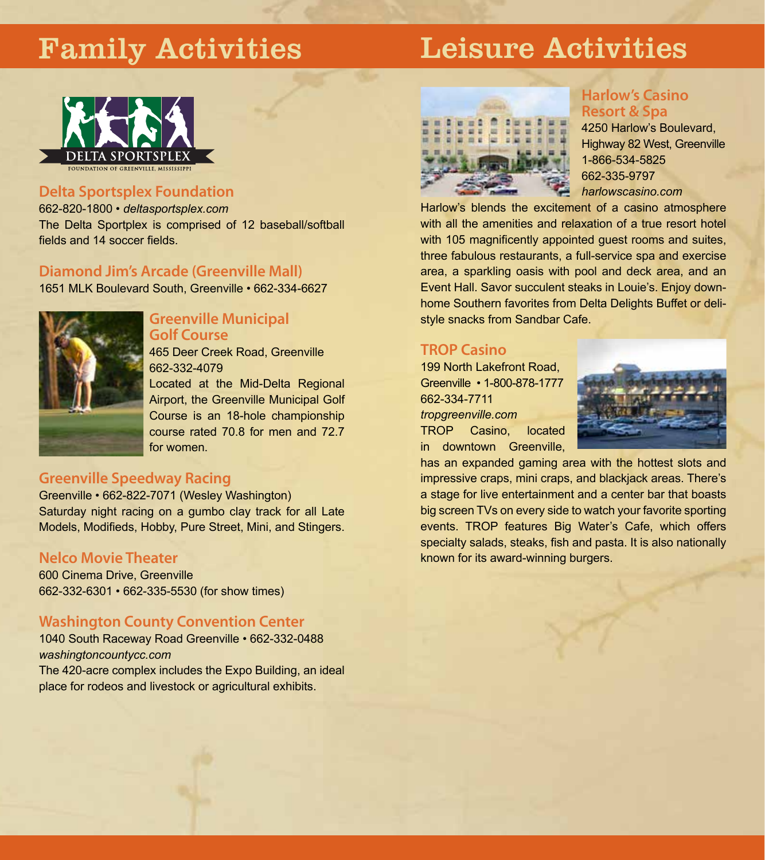# Family Activities

# Leisure Activities



### **Delta Sportsplex Foundation**

662-820-1800 • *deltasportsplex.com* The Delta Sportplex is comprised of 12 baseball/softball fields and 14 soccer fields.

#### **Diamond Jim's Arcade (Greenville Mall)**

1651 MLK Boulevard South, Greenville • 662-334-6627



#### **Greenville Municipal Golf Course**

465 Deer Creek Road, Greenville 662-332-4079

Located at the Mid-Delta Regional Airport, the Greenville Municipal Golf Course is an 18-hole championship course rated 70.8 for men and 72.7 for women.

# **Greenville Speedway Racing**

Greenville • 662-822-7071 (Wesley Washington) Saturday night racing on a gumbo clay track for all Late Models, Modifieds, Hobby, Pure Street, Mini, and Stingers.

#### **Nelco Movie Theater**

600 Cinema Drive, Greenville 662-332-6301 • 662-335-5530 (for show times)

#### **Washington County Convention Center**

1040 South Raceway Road Greenville • 662-332-0488 *washingtoncountycc.com* The 420-acre complex includes the Expo Building, an ideal

place for rodeos and livestock or agricultural exhibits.



# **Harlow's Casino Resort & Spa**

4250 Harlow's Boulevard, Highway 82 West, Greenville 1-866-534-5825 662-335-9797 *harlowscasino.com*

Harlow's blends the excitement of a casino atmosphere with all the amenities and relaxation of a true resort hotel with 105 magnificently appointed guest rooms and suites, three fabulous restaurants, a full-service spa and exercise area, a sparkling oasis with pool and deck area, and an Event Hall. Savor succulent steaks in Louie's. Enjoy downhome Southern favorites from Delta Delights Buffet or delistyle snacks from Sandbar Cafe.

# **TROP Casino**

199 North Lakefront Road, Greenville • 1-800-878-1777 662-334-7711 *tropgreenville.com* TROP Casino, located in downtown Greenville,



has an expanded gaming area with the hottest slots and impressive craps, mini craps, and blackjack areas. There's a stage for live entertainment and a center bar that boasts big screen TVs on every side to watch your favorite sporting events. TROP features Big Water's Cafe, which offers specialty salads, steaks, fish and pasta. It is also nationally known for its award-winning burgers.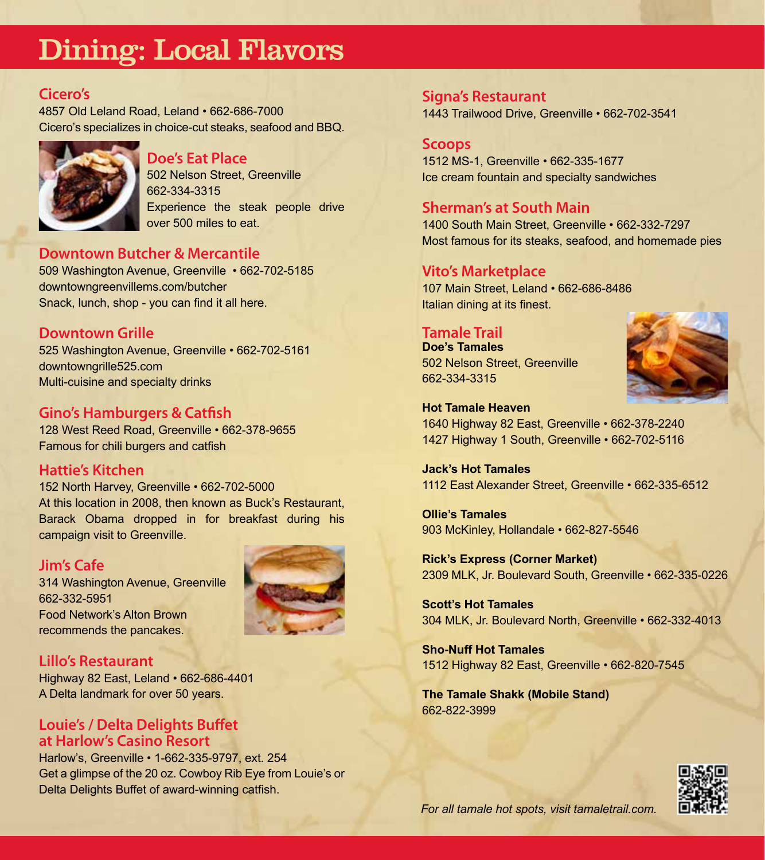# Dining: Local Flavors

#### **Cicero's**

4857 Old Leland Road, Leland • 662-686-7000 Cicero's specializes in choice-cut steaks, seafood and BBQ.



#### **Doe's Eat Place**

502 Nelson Street, Greenville 662-334-3315 Experience the steak people drive over 500 miles to eat.

#### **Downtown Butcher & Mercantile**

509 Washington Avenue, Greenville • 662-702-5185 downtowngreenvillems.com/butcher Snack, lunch, shop - you can find it all here.

### **Downtown Grille**

525 Washington Avenue, Greenville • 662-702-5161 downtowngrille525.com Multi-cuisine and specialty drinks

### **Gino's Hamburgers & Catfish**

128 West Reed Road, Greenville • 662-378-9655 Famous for chili burgers and catfish

#### **Hattie's Kitchen**

152 North Harvey, Greenville • 662-702-5000 At this location in 2008, then known as Buck's Restaurant, Barack Obama dropped in for breakfast during his campaign visit to Greenville.

#### **Jim's Cafe**

314 Washington Avenue, Greenville 662-332-5951 Food Network's Alton Brown recommends the pancakes.



#### **Lillo's Restaurant**

Highway 82 East, Leland • 662-686-4401 A Delta landmark for over 50 years.

#### **Louie's / Delta Delights Buffet at Harlow's Casino Resort**

Harlow's, Greenville • 1-662-335-9797, ext. 254 Get a glimpse of the 20 oz. Cowboy Rib Eye from Louie's or Delta Delights Buffet of award-winning catfish.

**Signa's Restaurant** 1443 Trailwood Drive, Greenville • 662-702-3541

### **Scoops**

1512 MS-1, Greenville • 662-335-1677 Ice cream fountain and specialty sandwiches

# **Sherman's at South Main**

1400 South Main Street, Greenville • 662-332-7297 Most famous for its steaks, seafood, and homemade pies

#### **Vito's Marketplace**

107 Main Street, Leland • 662-686-8486 Italian dining at its finest.

#### **Tamale Trail**

**Doe's Tamales** 502 Nelson Street, Greenville 662-334-3315



**Hot Tamale Heaven** 1640 Highway 82 East, Greenville • 662-378-2240 1427 Highway 1 South, Greenville • 662-702-5116

**Jack's Hot Tamales** 1112 East Alexander Street, Greenville • 662-335-6512

**Ollie's Tamales** 903 McKinley, Hollandale • 662-827-5546

**Rick's Express (Corner Market)** 2309 MLK, Jr. Boulevard South, Greenville • 662-335-0226

**Scott's Hot Tamales** 304 MLK, Jr. Boulevard North, Greenville • 662-332-4013

**Sho-Nuff Hot Tamales** 1512 Highway 82 East, Greenville • 662-820-7545

**The Tamale Shakk (Mobile Stand)** 662-822-3999



*For all tamale hot spots, visit tamaletrail.com.*